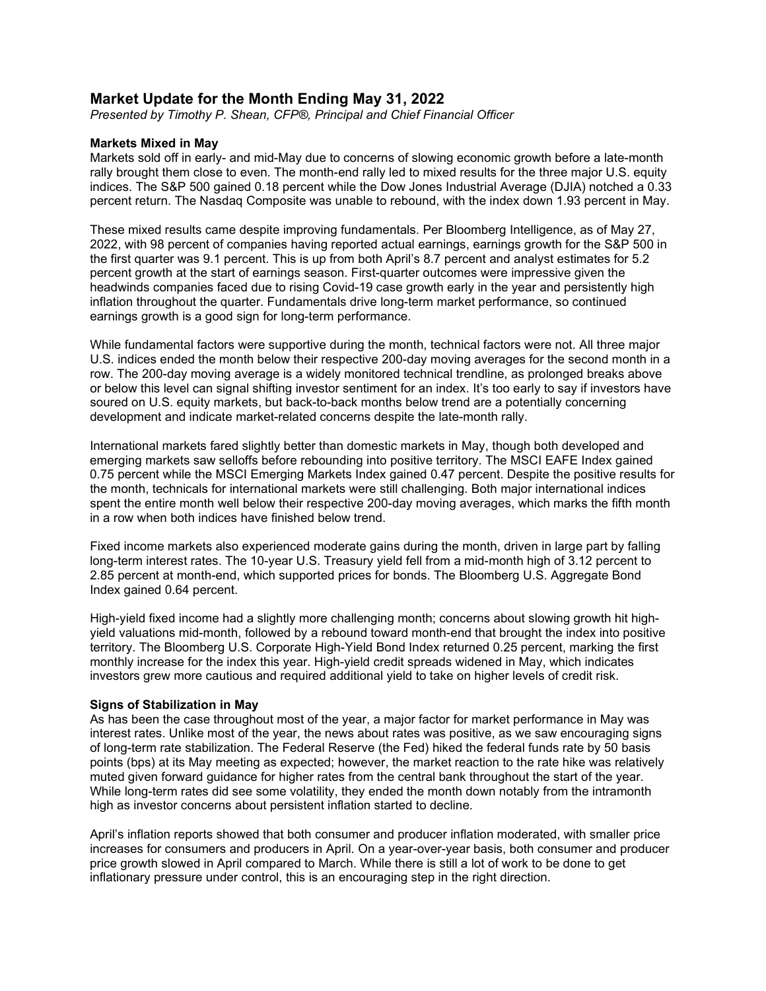# **Market Update for the Month Ending May 31, 2022**

*Presented by Timothy P. Shean, CFP®, Principal and Chief Financial Officer*

## **Markets Mixed in May**

Markets sold off in early- and mid-May due to concerns of slowing economic growth before a late-month rally brought them close to even. The month-end rally led to mixed results for the three major U.S. equity indices. The S&P 500 gained 0.18 percent while the Dow Jones Industrial Average (DJIA) notched a 0.33 percent return. The Nasdaq Composite was unable to rebound, with the index down 1.93 percent in May.

These mixed results came despite improving fundamentals. Per Bloomberg Intelligence, as of May 27, 2022, with 98 percent of companies having reported actual earnings, earnings growth for the S&P 500 in the first quarter was 9.1 percent. This is up from both April's 8.7 percent and analyst estimates for 5.2 percent growth at the start of earnings season. First-quarter outcomes were impressive given the headwinds companies faced due to rising Covid-19 case growth early in the year and persistently high inflation throughout the quarter. Fundamentals drive long-term market performance, so continued earnings growth is a good sign for long-term performance.

While fundamental factors were supportive during the month, technical factors were not. All three major U.S. indices ended the month below their respective 200-day moving averages for the second month in a row. The 200-day moving average is a widely monitored technical trendline, as prolonged breaks above or below this level can signal shifting investor sentiment for an index. It's too early to say if investors have soured on U.S. equity markets, but back-to-back months below trend are a potentially concerning development and indicate market-related concerns despite the late-month rally.

International markets fared slightly better than domestic markets in May, though both developed and emerging markets saw selloffs before rebounding into positive territory. The MSCI EAFE Index gained 0.75 percent while the MSCI Emerging Markets Index gained 0.47 percent. Despite the positive results for the month, technicals for international markets were still challenging. Both major international indices spent the entire month well below their respective 200-day moving averages, which marks the fifth month in a row when both indices have finished below trend.

Fixed income markets also experienced moderate gains during the month, driven in large part by falling long-term interest rates. The 10-year U.S. Treasury yield fell from a mid-month high of 3.12 percent to 2.85 percent at month-end, which supported prices for bonds. The Bloomberg U.S. Aggregate Bond Index gained 0.64 percent.

High-yield fixed income had a slightly more challenging month; concerns about slowing growth hit highyield valuations mid-month, followed by a rebound toward month-end that brought the index into positive territory. The Bloomberg U.S. Corporate High-Yield Bond Index returned 0.25 percent, marking the first monthly increase for the index this year. High-yield credit spreads widened in May, which indicates investors grew more cautious and required additional yield to take on higher levels of credit risk.

## **Signs of Stabilization in May**

As has been the case throughout most of the year, a major factor for market performance in May was interest rates. Unlike most of the year, the news about rates was positive, as we saw encouraging signs of long-term rate stabilization. The Federal Reserve (the Fed) hiked the federal funds rate by 50 basis points (bps) at its May meeting as expected; however, the market reaction to the rate hike was relatively muted given forward guidance for higher rates from the central bank throughout the start of the year. While long-term rates did see some volatility, they ended the month down notably from the intramonth high as investor concerns about persistent inflation started to decline.

April's inflation reports showed that both consumer and producer inflation moderated, with smaller price increases for consumers and producers in April. On a year-over-year basis, both consumer and producer price growth slowed in April compared to March. While there is still a lot of work to be done to get inflationary pressure under control, this is an encouraging step in the right direction.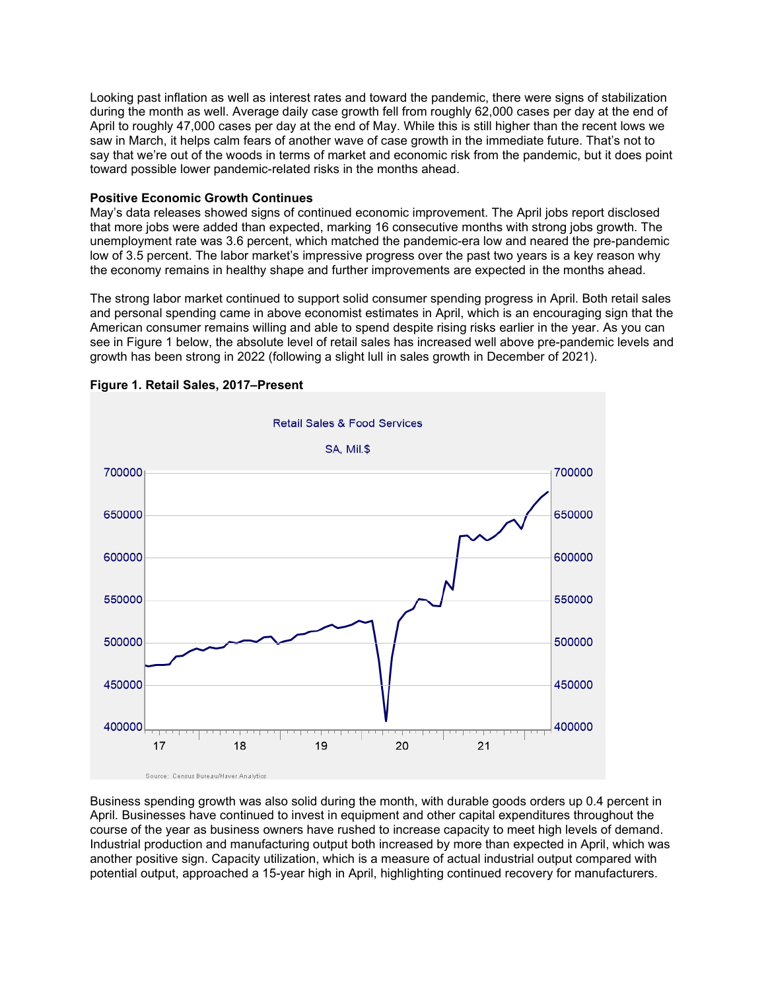Looking past inflation as well as interest rates and toward the pandemic, there were signs of stabilization during the month as well. Average daily case growth fell from roughly 62,000 cases per day at the end of April to roughly 47,000 cases per day at the end of May. While this is still higher than the recent lows we saw in March, it helps calm fears of another wave of case growth in the immediate future. That's not to say that we're out of the woods in terms of market and economic risk from the pandemic, but it does point toward possible lower pandemic-related risks in the months ahead.

# **Positive Economic Growth Continues**

May's data releases showed signs of continued economic improvement. The April jobs report disclosed that more jobs were added than expected, marking 16 consecutive months with strong jobs growth. The unemployment rate was 3.6 percent, which matched the pandemic-era low and neared the pre-pandemic low of 3.5 percent. The labor market's impressive progress over the past two years is a key reason why the economy remains in healthy shape and further improvements are expected in the months ahead.

The strong labor market continued to support solid consumer spending progress in April. Both retail sales and personal spending came in above economist estimates in April, which is an encouraging sign that the American consumer remains willing and able to spend despite rising risks earlier in the year. As you can see in Figure 1 below, the absolute level of retail sales has increased well above pre-pandemic levels and growth has been strong in 2022 (following a slight lull in sales growth in December of 2021).



**Figure 1. Retail Sales, 2017–Present**

Business spending growth was also solid during the month, with durable goods orders up 0.4 percent in April. Businesses have continued to invest in equipment and other capital expenditures throughout the course of the year as business owners have rushed to increase capacity to meet high levels of demand. Industrial production and manufacturing output both increased by more than expected in April, which was another positive sign. Capacity utilization, which is a measure of actual industrial output compared with potential output, approached a 15-year high in April, highlighting continued recovery for manufacturers.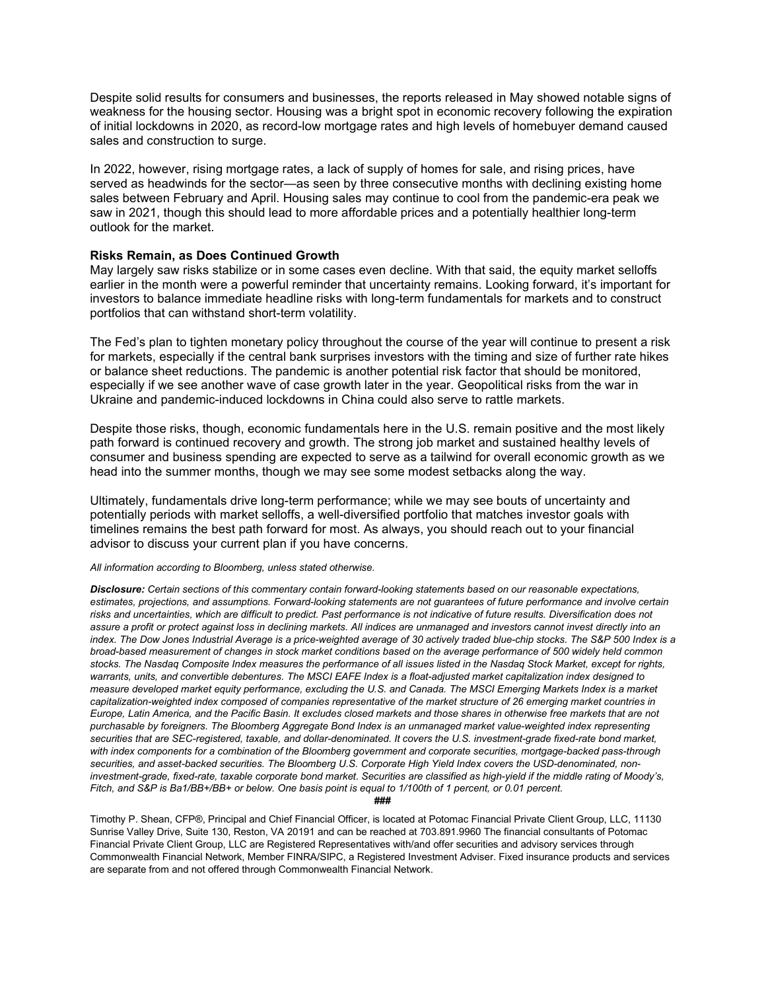Despite solid results for consumers and businesses, the reports released in May showed notable signs of weakness for the housing sector. Housing was a bright spot in economic recovery following the expiration of initial lockdowns in 2020, as record-low mortgage rates and high levels of homebuyer demand caused sales and construction to surge.

In 2022, however, rising mortgage rates, a lack of supply of homes for sale, and rising prices, have served as headwinds for the sector—as seen by three consecutive months with declining existing home sales between February and April. Housing sales may continue to cool from the pandemic-era peak we saw in 2021, though this should lead to more affordable prices and a potentially healthier long-term outlook for the market.

#### **Risks Remain, as Does Continued Growth**

May largely saw risks stabilize or in some cases even decline. With that said, the equity market selloffs earlier in the month were a powerful reminder that uncertainty remains. Looking forward, it's important for investors to balance immediate headline risks with long-term fundamentals for markets and to construct portfolios that can withstand short-term volatility.

The Fed's plan to tighten monetary policy throughout the course of the year will continue to present a risk for markets, especially if the central bank surprises investors with the timing and size of further rate hikes or balance sheet reductions. The pandemic is another potential risk factor that should be monitored, especially if we see another wave of case growth later in the year. Geopolitical risks from the war in Ukraine and pandemic-induced lockdowns in China could also serve to rattle markets.

Despite those risks, though, economic fundamentals here in the U.S. remain positive and the most likely path forward is continued recovery and growth. The strong job market and sustained healthy levels of consumer and business spending are expected to serve as a tailwind for overall economic growth as we head into the summer months, though we may see some modest setbacks along the way.

Ultimately, fundamentals drive long-term performance; while we may see bouts of uncertainty and potentially periods with market selloffs, a well-diversified portfolio that matches investor goals with timelines remains the best path forward for most. As always, you should reach out to your financial advisor to discuss your current plan if you have concerns.

#### *All information according to Bloomberg, unless stated otherwise.*

*Disclosure: Certain sections of this commentary contain forward-looking statements based on our reasonable expectations, estimates, projections, and assumptions. Forward-looking statements are not guarantees of future performance and involve certain*  risks and uncertainties, which are difficult to predict. Past performance is not indicative of future results. Diversification does not *assure a profit or protect against loss in declining markets. All indices are unmanaged and investors cannot invest directly into an index. The Dow Jones Industrial Average is a price-weighted average of 30 actively traded blue-chip stocks. The S&P 500 Index is a broad-based measurement of changes in stock market conditions based on the average performance of 500 widely held common stocks. The Nasdaq Composite Index measures the performance of all issues listed in the Nasdaq Stock Market, except for rights, warrants, units, and convertible debentures. The MSCI EAFE Index is a float-adjusted market capitalization index designed to measure developed market equity performance, excluding the U.S. and Canada. The MSCI Emerging Markets Index is a market capitalization-weighted index composed of companies representative of the market structure of 26 emerging market countries in Europe, Latin America, and the Pacific Basin. It excludes closed markets and those shares in otherwise free markets that are not purchasable by foreigners. The Bloomberg Aggregate Bond Index is an unmanaged market value-weighted index representing securities that are SEC-registered, taxable, and dollar-denominated. It covers the U.S. investment-grade fixed-rate bond market, with index components for a combination of the Bloomberg government and corporate securities, mortgage-backed pass-through securities, and asset-backed securities. The Bloomberg U.S. Corporate High Yield Index covers the USD-denominated, noninvestment-grade, fixed-rate, taxable corporate bond market. Securities are classified as high-yield if the middle rating of Moody's, Fitch, and S&P is Ba1/BB+/BB+ or below. One basis point is equal to 1/100th of 1 percent, or 0.01 percent.*

**###**

Timothy P. Shean, CFP®, Principal and Chief Financial Officer, is located at Potomac Financial Private Client Group, LLC, 11130 Sunrise Valley Drive, Suite 130, Reston, VA 20191 and can be reached at 703.891.9960 The financial consultants of Potomac Financial Private Client Group, LLC are Registered Representatives with/and offer securities and advisory services through Commonwealth Financial Network, Member FINRA/SIPC, a Registered Investment Adviser. Fixed insurance products and services are separate from and not offered through Commonwealth Financial Network.